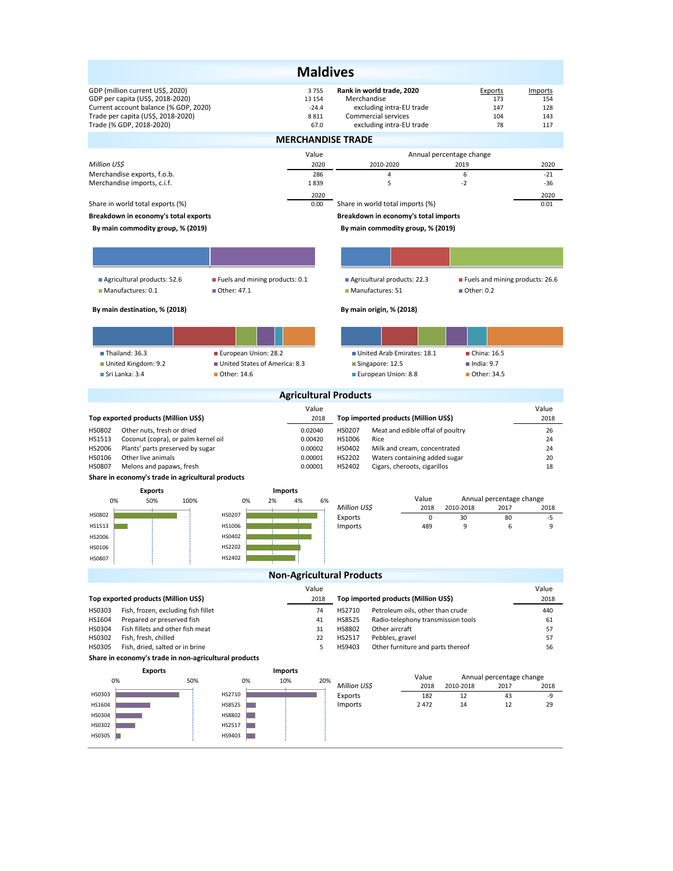| <b>Maldives</b>                                                                                                                                                                 |                               |                                           |                                                                                                                         |                                                               |                                    |                                     |  |  |  |  |  |
|---------------------------------------------------------------------------------------------------------------------------------------------------------------------------------|-------------------------------|-------------------------------------------|-------------------------------------------------------------------------------------------------------------------------|---------------------------------------------------------------|------------------------------------|-------------------------------------|--|--|--|--|--|
| GDP (million current US\$, 2020)<br>GDP per capita (US\$, 2018-2020)<br>Current account balance (% GDP, 2020)<br>Trade per capita (US\$, 2018-2020)<br>Trade (% GDP, 2018-2020) |                               | 3755<br>13 154<br>$-24.4$<br>8811<br>67.0 | Rank in world trade, 2020<br>Merchandise<br>excluding intra-EU trade<br>Commercial services<br>excluding intra-EU trade |                                                               | Exports<br>173<br>147<br>104<br>78 | Imports<br>154<br>128<br>143<br>117 |  |  |  |  |  |
| <b>MERCHANDISE TRADE</b>                                                                                                                                                        |                               |                                           |                                                                                                                         |                                                               |                                    |                                     |  |  |  |  |  |
| Million US\$                                                                                                                                                                    |                               | Value<br>2020                             | 2010-2020                                                                                                               |                                                               | Annual percentage change<br>2019   | 2020                                |  |  |  |  |  |
| Merchandise exports, f.o.b.                                                                                                                                                     |                               | 286                                       | 4                                                                                                                       |                                                               | 6                                  | $-21$                               |  |  |  |  |  |
| Merchandise imports, c.i.f.                                                                                                                                                     |                               | 1839<br>2020                              | 5                                                                                                                       |                                                               | $-2$                               | -36<br>2020                         |  |  |  |  |  |
| Share in world total exports (%)                                                                                                                                                |                               | 0.00                                      | Share in world total imports (%)                                                                                        |                                                               |                                    | 0.01                                |  |  |  |  |  |
| Breakdown in economy's total exports                                                                                                                                            |                               |                                           | Breakdown in economy's total imports                                                                                    |                                                               |                                    |                                     |  |  |  |  |  |
| By main commodity group, % (2019)                                                                                                                                               |                               |                                           | By main commodity group, % (2019)                                                                                       |                                                               |                                    |                                     |  |  |  |  |  |
|                                                                                                                                                                                 |                               |                                           |                                                                                                                         |                                                               |                                    |                                     |  |  |  |  |  |
| Agricultural products: 52.6<br>Fuels and mining products: 0.1<br>$\blacksquare$ Manufactures: 0.1<br>Other: 47.1                                                                |                               |                                           | Agricultural products: 22.3<br>Manufactures: 51                                                                         | Fuels and mining products: 26.6                               |                                    |                                     |  |  |  |  |  |
| By main destination, % (2018)                                                                                                                                                   |                               |                                           | By main origin, % (2018)                                                                                                |                                                               |                                    |                                     |  |  |  |  |  |
|                                                                                                                                                                                 |                               |                                           |                                                                                                                         |                                                               |                                    |                                     |  |  |  |  |  |
| Thailand: 36.3                                                                                                                                                                  | European Union: 28.2          |                                           | United Arab Emirates: 18.1                                                                                              |                                                               | $\blacksquare$ China: 16.5         |                                     |  |  |  |  |  |
| United Kingdom: 9.2                                                                                                                                                             | United States of America: 8.3 |                                           | Singapore: 12.5                                                                                                         |                                                               | $l$ ndia: 9.7                      |                                     |  |  |  |  |  |
| Sri Lanka: 3.4                                                                                                                                                                  | ■ Other: 14.6                 |                                           | European Union: 8.8                                                                                                     |                                                               | Other: 34.5                        |                                     |  |  |  |  |  |
| <b>Agricultural Products</b>                                                                                                                                                    |                               |                                           |                                                                                                                         |                                                               |                                    |                                     |  |  |  |  |  |
|                                                                                                                                                                                 |                               |                                           |                                                                                                                         |                                                               |                                    |                                     |  |  |  |  |  |
|                                                                                                                                                                                 |                               | Value                                     |                                                                                                                         |                                                               |                                    | Value                               |  |  |  |  |  |
| Top exported products (Million US\$)                                                                                                                                            |                               | 2018                                      | Top imported products (Million US\$)                                                                                    |                                                               |                                    | 2018                                |  |  |  |  |  |
| HS0802<br>Other nuts, fresh or dried<br>HS1513<br>Coconut (copra), or palm kernel oil                                                                                           |                               | 0.02040<br>0.00420                        | HS0207<br>HS1006<br>Rice                                                                                                | Meat and edible offal of poultry                              |                                    | 26<br>24                            |  |  |  |  |  |
| HS2006<br>Plants' parts preserved by sugar                                                                                                                                      |                               | 0.00002                                   | HS0402                                                                                                                  | Milk and cream, concentrated                                  |                                    | 24                                  |  |  |  |  |  |
| HS0106<br>Other live animals<br>HS0807<br>Melons and papaws, fresh                                                                                                              |                               | 0.00001<br>0.00001                        | HS2202<br>HS2402                                                                                                        | Waters containing added sugar<br>Cigars, cheroots, cigarillos |                                    | 20<br>18                            |  |  |  |  |  |
| Share in economy's trade in agricultural products                                                                                                                               |                               |                                           |                                                                                                                         |                                                               |                                    |                                     |  |  |  |  |  |
| <b>Exports</b><br>50%<br>0%<br>100%                                                                                                                                             | 2%<br>0%                      | <b>Imports</b><br>4%<br>6%                |                                                                                                                         | Value                                                         | Annual percentage change           |                                     |  |  |  |  |  |
|                                                                                                                                                                                 |                               |                                           | Million US\$                                                                                                            | 2018                                                          | 2010-2018<br>2017                  | 2018                                |  |  |  |  |  |
| HS0802<br>HS1513                                                                                                                                                                | HS0207<br>HS1006              |                                           | Exports<br>Imports                                                                                                      | $\mathbf 0$<br>489                                            | 30<br>9                            | 80<br>-5<br>6<br>9                  |  |  |  |  |  |
| HS2006                                                                                                                                                                          | HS0402                        |                                           |                                                                                                                         |                                                               |                                    |                                     |  |  |  |  |  |
| HS0106                                                                                                                                                                          | HS2202                        |                                           |                                                                                                                         |                                                               |                                    |                                     |  |  |  |  |  |
| <b>HS0807</b>                                                                                                                                                                   | HS2402                        |                                           |                                                                                                                         |                                                               |                                    |                                     |  |  |  |  |  |
|                                                                                                                                                                                 |                               | <b>Non-Agricultural Products</b><br>Value |                                                                                                                         |                                                               |                                    | Value                               |  |  |  |  |  |
| Top exported products (Million US\$)                                                                                                                                            |                               | 2018                                      | Top imported products (Million US\$)                                                                                    |                                                               |                                    | 2018                                |  |  |  |  |  |
| HS0303<br>Fish, frozen, excluding fish fillet                                                                                                                                   |                               | 74                                        | HS2710                                                                                                                  | Petroleum oils, other than crude                              |                                    | 440                                 |  |  |  |  |  |
| HS1604<br>Prepared or preserved fish<br>Fish fillets and other fish meat<br>HS0304                                                                                              |                               | 41<br>31                                  | HS8525                                                                                                                  | Radio-telephony transmission tools                            |                                    | 61<br>57                            |  |  |  |  |  |
| HS0302<br>Fish, fresh, chilled                                                                                                                                                  |                               | 22                                        | HS8802<br>Other aircraft<br>HS2517<br>Pebbles, gravel                                                                   |                                                               |                                    | 57                                  |  |  |  |  |  |
| HS0305<br>Fish, dried, salted or in brine                                                                                                                                       |                               | 5                                         | HS9403                                                                                                                  | Other furniture and parts thereof                             |                                    | 56                                  |  |  |  |  |  |
| Share in economy's trade in non-agricultural products                                                                                                                           |                               |                                           |                                                                                                                         |                                                               |                                    |                                     |  |  |  |  |  |
| <b>Exports</b><br>0%<br>50%                                                                                                                                                     | 0%                            | Imports<br>10%<br>20%                     |                                                                                                                         | Value                                                         | Annual percentage change           |                                     |  |  |  |  |  |
| HS0303                                                                                                                                                                          | HS2710                        |                                           | Million US\$                                                                                                            | 2018<br>182                                                   | 2010-2018<br>2017<br>12            | 2018<br>43<br>-9                    |  |  |  |  |  |
| HS1604                                                                                                                                                                          | HS8525                        |                                           | Exports<br>Imports                                                                                                      | 2472                                                          | 14                                 | 12<br>29                            |  |  |  |  |  |
| HS0304                                                                                                                                                                          | HS8802                        |                                           |                                                                                                                         |                                                               |                                    |                                     |  |  |  |  |  |
| HS0302<br>HS0305                                                                                                                                                                | HS2517<br>HS9403              |                                           |                                                                                                                         |                                                               |                                    |                                     |  |  |  |  |  |